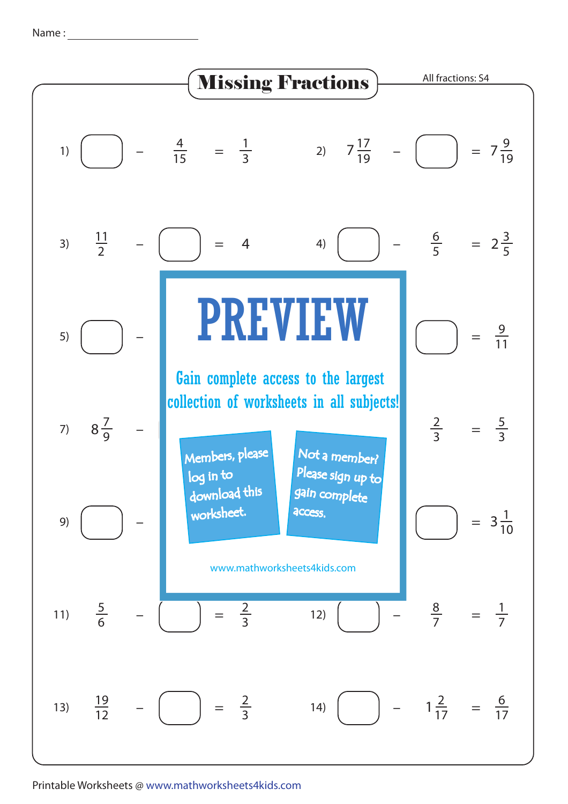